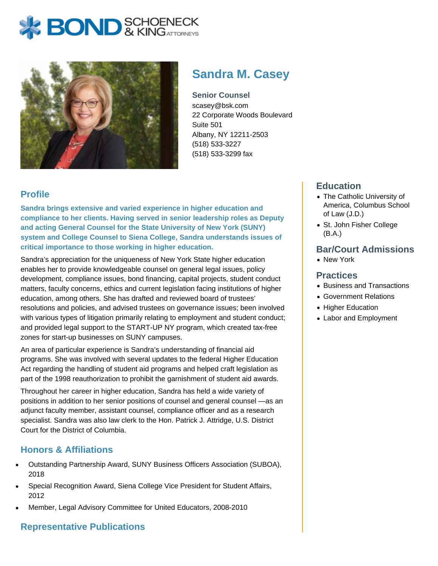



# **Sandra M. Casey**

**Senior Counsel** scasey@bsk.com 22 Corporate Woods Boulevard Suite 501 Albany, NY 12211-2503 (518) 533-3227 (518) 533-3299 fax

# **Profile**

**Sandra brings extensive and varied experience in higher education and compliance to her clients. Having served in senior leadership roles as Deputy and acting General Counsel for the State University of New York (SUNY) system and College Counsel to Siena College, Sandra understands issues of critical importance to those working in higher education.** 

Sandra's appreciation for the uniqueness of New York State higher education enables her to provide knowledgeable counsel on general legal issues, policy development, compliance issues, bond financing, capital projects, student conduct matters, faculty concerns, ethics and current legislation facing institutions of higher education, among others. She has drafted and reviewed board of trustees' resolutions and policies, and advised trustees on governance issues; been involved with various types of litigation primarily relating to employment and student conduct; and provided legal support to the START-UP NY program, which created tax-free zones for start-up businesses on SUNY campuses.

An area of particular experience is Sandra's understanding of financial aid programs. She was involved with several updates to the federal Higher Education Act regarding the handling of student aid programs and helped craft legislation as part of the 1998 reauthorization to prohibit the garnishment of student aid awards.

Throughout her career in higher education, Sandra has held a wide variety of positions in addition to her senior positions of counsel and general counsel —as an adjunct faculty member, assistant counsel, compliance officer and as a research specialist. Sandra was also law clerk to the Hon. Patrick J. Attridge, U.S. District Court for the District of Columbia.

# **Honors & Affiliations**

- Outstanding Partnership Award, SUNY Business Officers Association (SUBOA), 2018
- Special Recognition Award, Siena College Vice President for Student Affairs, 2012
- Member, Legal Advisory Committee for United Educators, 2008-2010

# **Representative Publications**

### **Education**

- The Catholic University of America, Columbus School of Law (J.D.)
- St. John Fisher College (B.A.)

#### **Bar/Court Admissions**

New York

#### **Practices**

- Business and Transactions
- Government Relations
- Higher Education
- Labor and Employment